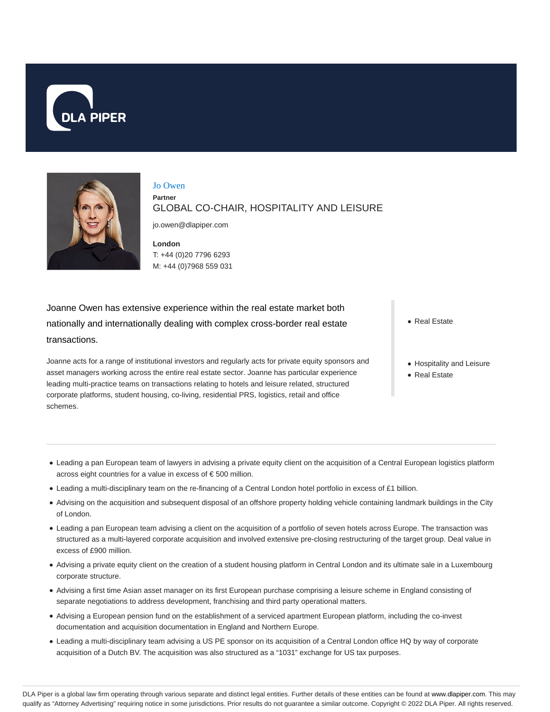



Jo Owen **Partner** GLOBAL CO-CHAIR, HOSPITALITY AND LEISURE

jo.owen@dlapiper.com

**London** T: +44 (0)20 7796 6293 M: +44 (0)7968 559 031

Joanne Owen has extensive experience within the real estate market both nationally and internationally dealing with complex cross-border real estate transactions.

Joanne acts for a range of institutional investors and regularly acts for private equity sponsors and asset managers working across the entire real estate sector. Joanne has particular experience leading multi-practice teams on transactions relating to hotels and leisure related, structured corporate platforms, student housing, co-living, residential PRS, logistics, retail and office schemes.

• Real Estate

- Hospitality and Leisure
- Real Estate

- Leading a pan European team of lawyers in advising a private equity client on the acquisition of a Central European logistics platform across eight countries for a value in excess of € 500 million.
- Leading a multi-disciplinary team on the re-financing of a Central London hotel portfolio in excess of £1 billion.
- Advising on the acquisition and subsequent disposal of an offshore property holding vehicle containing landmark buildings in the City of London.
- Leading a pan European team advising a client on the acquisition of a portfolio of seven hotels across Europe. The transaction was structured as a multi-layered corporate acquisition and involved extensive pre-closing restructuring of the target group. Deal value in excess of £900 million.
- Advising a private equity client on the creation of a student housing platform in Central London and its ultimate sale in a Luxembourg corporate structure.
- Advising a first time Asian asset manager on its first European purchase comprising a leisure scheme in England consisting of separate negotiations to address development, franchising and third party operational matters.
- Advising a European pension fund on the establishment of a serviced apartment European platform, including the co-invest documentation and acquisition documentation in England and Northern Europe.
- Leading a multi-disciplinary team advising a US PE sponsor on its acquisition of a Central London office HQ by way of corporate acquisition of a Dutch BV. The acquisition was also structured as a "1031" exchange for US tax purposes.

DLA Piper is a global law firm operating through various separate and distinct legal entities. Further details of these entities can be found at www.dlapiper.com. This may qualify as "Attorney Advertising" requiring notice in some jurisdictions. Prior results do not guarantee a similar outcome. Copyright @ 2022 DLA Piper. All rights reserved.